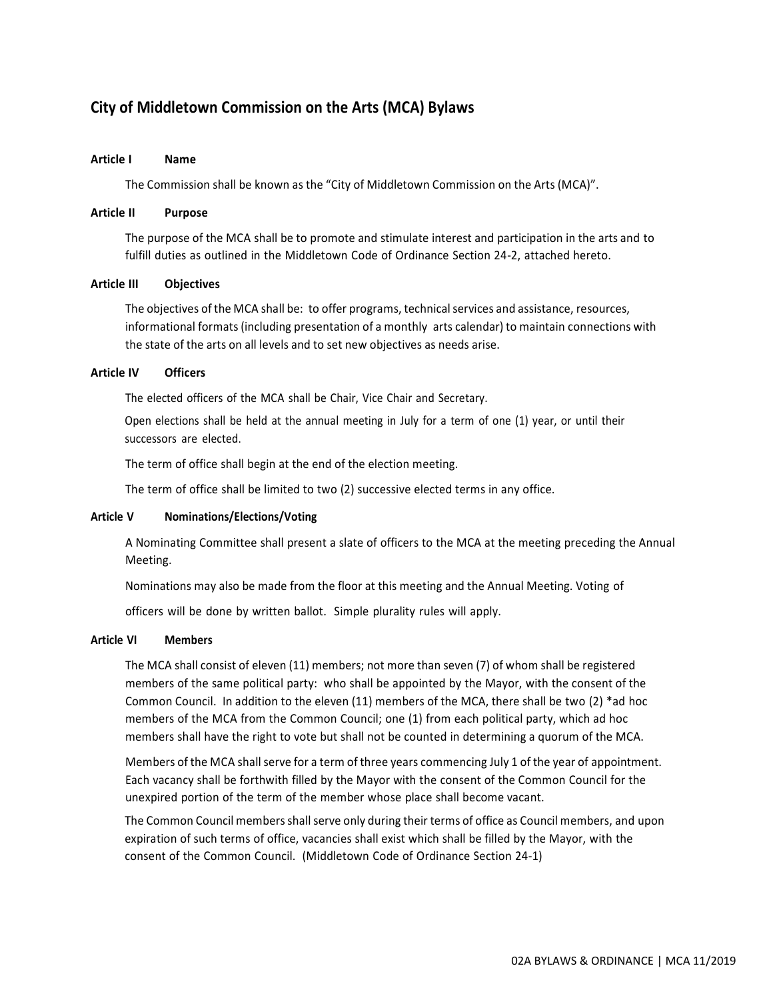# **City of Middletown Commission on the Arts (MCA) Bylaws**

# **Article I Name**

The Commission shall be known as the "City of Middletown Commission on the Arts (MCA)".

# **Article II Purpose**

The purpose of the MCA shall be to promote and stimulate interest and participation in the arts and to fulfill duties as outlined in the Middletown Code of Ordinance Section 24-2, attached hereto.

### **Article III Objectives**

The objectives of the MCA shall be: to offer programs, technical services and assistance, resources, informational formats (including presentation of a monthly arts calendar) to maintain connections with the state of the arts on all levels and to set new objectives as needs arise.

# **Article IV Officers**

The elected officers of the MCA shall be Chair, Vice Chair and Secretary.

Open elections shall be held at the annual meeting in July for a term of one (1) year, or until their successors are elected.

The term of office shall begin at the end of the election meeting.

The term of office shall be limited to two (2) successive elected terms in any office.

# **Article V Nominations/Elections/Voting**

A Nominating Committee shall present a slate of officers to the MCA at the meeting preceding the Annual Meeting.

Nominations may also be made from the floor at this meeting and the Annual Meeting. Voting of

officers will be done by written ballot. Simple plurality rules will apply.

# **Article VI Members**

The MCA shall consist of eleven (11) members; not more than seven (7) of whom shall be registered members of the same political party: who shall be appointed by the Mayor, with the consent of the Common Council. In addition to the eleven (11) members of the MCA, there shall be two (2) \*ad hoc members of the MCA from the Common Council; one (1) from each political party, which ad hoc members shall have the right to vote but shall not be counted in determining a quorum of the MCA.

Members of the MCA shall serve for a term of three years commencing July 1 of the year of appointment. Each vacancy shall be forthwith filled by the Mayor with the consent of the Common Council for the unexpired portion of the term of the member whose place shall become vacant.

The Common Council membersshallserve only during their terms of office as Council members, and upon expiration of such terms of office, vacancies shall exist which shall be filled by the Mayor, with the consent of the Common Council. (Middletown Code of Ordinance Section 24-1)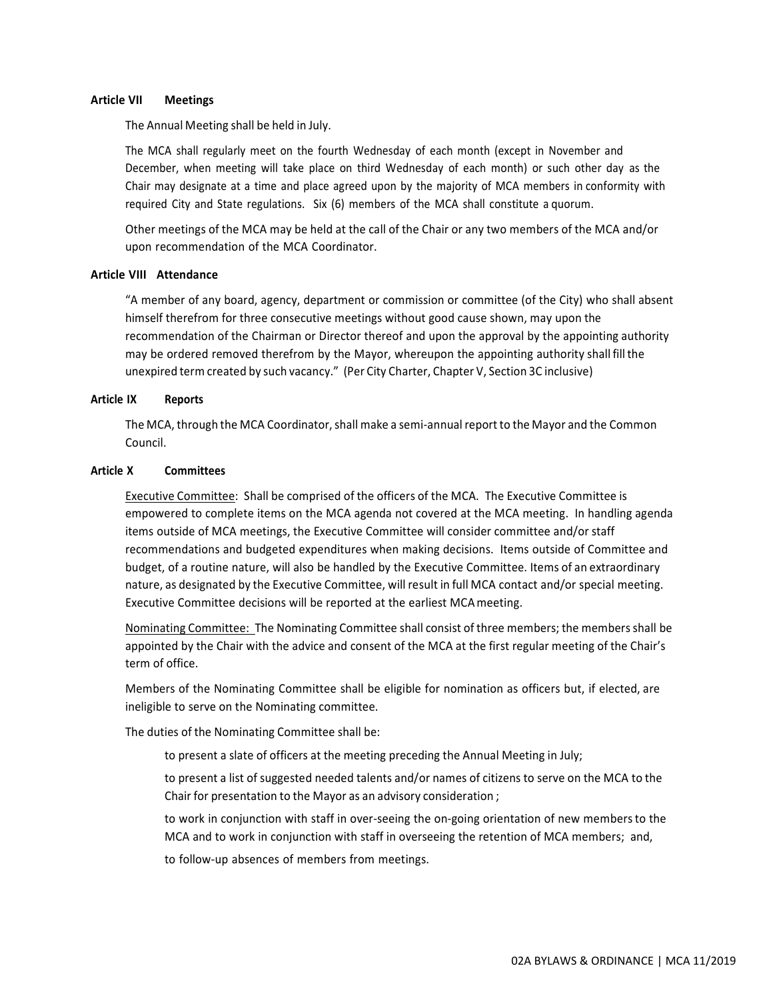# **Article VII Meetings**

The Annual Meeting shall be held in July.

The MCA shall regularly meet on the fourth Wednesday of each month (except in November and December, when meeting will take place on third Wednesday of each month) or such other day as the Chair may designate at a time and place agreed upon by the majority of MCA members in conformity with required City and State regulations. Six (6) members of the MCA shall constitute a quorum.

Other meetings of the MCA may be held at the call of the Chair or any two members of the MCA and/or upon recommendation of the MCA Coordinator.

# **Article VIII Attendance**

"A member of any board, agency, department or commission or committee (of the City) who shall absent himself therefrom for three consecutive meetings without good cause shown, may upon the recommendation of the Chairman or Director thereof and upon the approval by the appointing authority may be ordered removed therefrom by the Mayor, whereupon the appointing authority shall fill the unexpired term created by such vacancy." (Per City Charter, Chapter V, Section 3C inclusive)

# **Article IX Reports**

The MCA, through the MCA Coordinator, shall make a semi-annual report to the Mayor and the Common Council.

### **Article X Committees**

Executive Committee: Shall be comprised of the officers of the MCA. The Executive Committee is empowered to complete items on the MCA agenda not covered at the MCA meeting. In handling agenda items outside of MCA meetings, the Executive Committee will consider committee and/or staff recommendations and budgeted expenditures when making decisions. Items outside of Committee and budget, of a routine nature, will also be handled by the Executive Committee. Items of an extraordinary nature, as designated by the Executive Committee, will result in full MCA contact and/or special meeting. Executive Committee decisions will be reported at the earliest MCAmeeting.

Nominating Committee: The Nominating Committee shall consist of three members; the membersshall be appointed by the Chair with the advice and consent of the MCA at the first regular meeting of the Chair's term of office.

Members of the Nominating Committee shall be eligible for nomination as officers but, if elected, are ineligible to serve on the Nominating committee.

The duties of the Nominating Committee shall be:

- to present a slate of officers at the meeting preceding the Annual Meeting in July;
- to present a list of suggested needed talents and/or names of citizens to serve on the MCA to the Chair for presentation to the Mayor as an advisory consideration ;
- to work in conjunction with staff in over-seeing the on-going orientation of new membersto the MCA and to work in conjunction with staff in overseeing the retention of MCA members; and,
- to follow-up absences of members from meetings.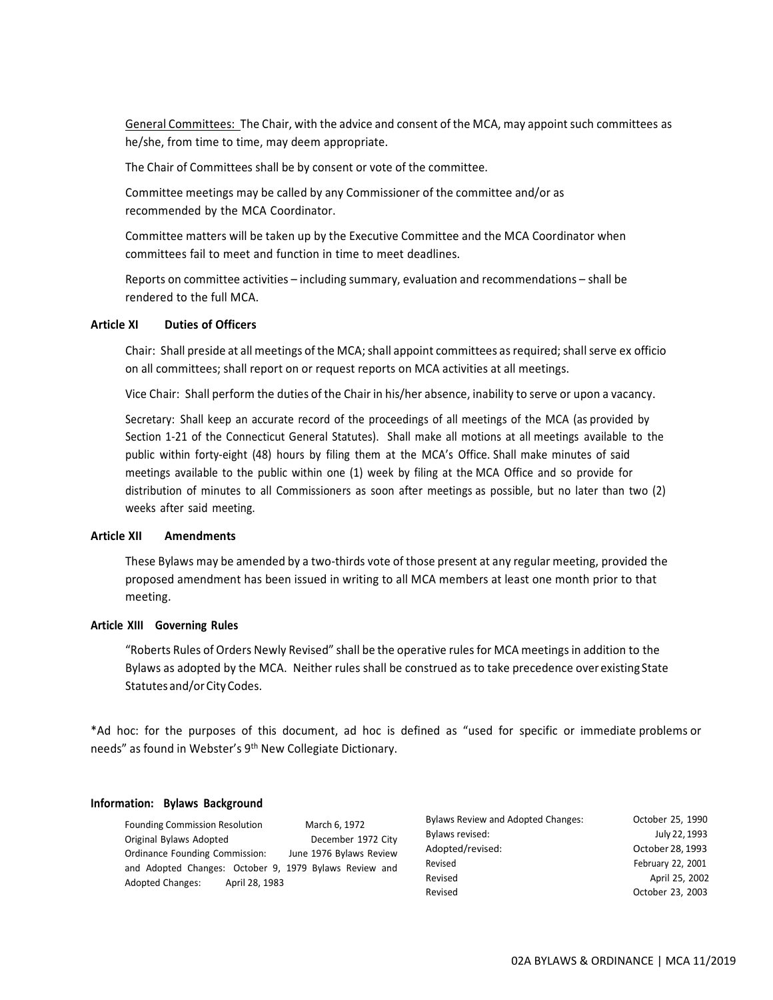General Committees: The Chair, with the advice and consent of the MCA, may appoint such committees as he/she, from time to time, may deem appropriate.

The Chair of Committees shall be by consent or vote of the committee.

Committee meetings may be called by any Commissioner of the committee and/or as recommended by the MCA Coordinator.

Committee matters will be taken up by the Executive Committee and the MCA Coordinator when committees fail to meet and function in time to meet deadlines.

Reports on committee activities – including summary, evaluation and recommendations – shall be rendered to the full MCA.

# **Article XI Duties of Officers**

Chair: Shall preside at all meetings of the MCA; shall appoint committees as required; shall serve ex officio on all committees; shall report on or request reports on MCA activities at all meetings.

Vice Chair: Shall perform the duties of the Chair in his/her absence, inability to serve or upon a vacancy.

Secretary: Shall keep an accurate record of the proceedings of all meetings of the MCA (as provided by Section 1-21 of the Connecticut General Statutes). Shall make all motions at all meetings available to the public within forty-eight (48) hours by filing them at the MCA's Office. Shall make minutes of said meetings available to the public within one (1) week by filing at the MCA Office and so provide for distribution of minutes to all Commissioners as soon after meetings as possible, but no later than two (2) weeks after said meeting.

### **Article XII Amendments**

These Bylaws may be amended by a two-thirds vote of those present at any regular meeting, provided the proposed amendment has been issued in writing to all MCA members at least one month prior to that meeting.

# **Article XIII Governing Rules**

"Roberts Rules of Orders Newly Revised" shall be the operative rulesfor MCA meetingsin addition to the Bylaws as adopted by the MCA. Neither rules shall be construed as to take precedence over existing State Statutes and/or City Codes.

\*Ad hoc: for the purposes of this document, ad hoc is defined as "used for specific or immediate problems or needs" as found in Webster's 9<sup>th</sup> New Collegiate Dictionary.

### **Information: Bylaws Background**

Founding Commission Resolution March 6, 1972 Original Bylaws Adopted December 1972 City Ordinance Founding Commission: June 1976 Bylaws Review and Adopted Changes: October 9, 1979 Bylaws Review and Adopted Changes: April 28, 1983

| <b>Bylaws Review and Adopted Changes:</b> | October 25, 1990  |
|-------------------------------------------|-------------------|
| Bylaws revised:                           | July 22, 1993     |
| Adopted/revised:                          | October 28, 1993  |
| Revised                                   | February 22, 2001 |
| Revised                                   | April 25, 2002    |
| Revised                                   | October 23, 2003  |
|                                           |                   |